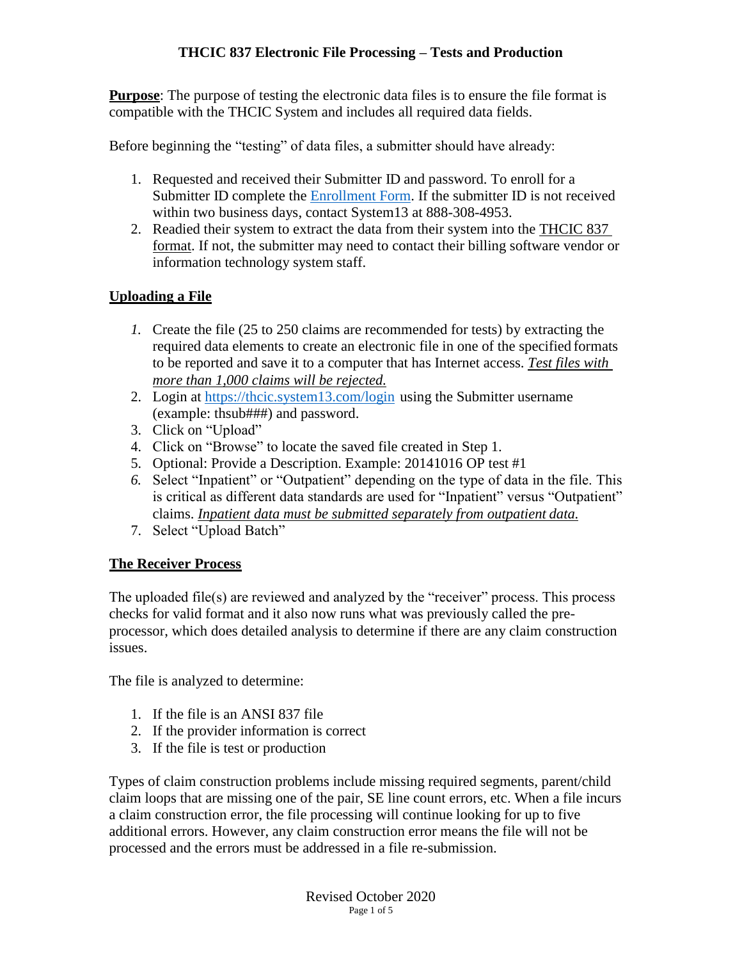**Purpose**: The purpose of testing the electronic data files is to ensure the file format is compatible with the THCIC System and includes all required data fields.

Before beginning the "testing" of data files, a submitter should have already:

- 1. Requested and received their Submitter ID and password. To enroll for a Submitter ID complete the [Enrollment Form.](https://thcic.system13.com/enrollments) If the submitter ID is not received within two business days, contact System13 at 888-308-4953.
- 2. Readied their system to extract the data from their system into the THCIC 837 format. If not, the submitter may need to contact their billing software vendor or information technology system staff.

## **Uploading a File**

- *1.* Create the file (25 to 250 claims are recommended for tests) by extracting the required data elements to create an electronic file in one of the specified formats to be reported and save it to a computer that has Internet access. *Test files with more than 1,000 claims will be rejected.*
- 2. Login at <https://thcic.system13.com/login> using the Submitter username (example: thsub###) and password.
- 3. Click on "Upload"
- 4. Click on "Browse" to locate the saved file created in Step 1.
- 5. Optional: Provide a Description. Example: 20141016 OP test #1
- *6.* Select "Inpatient" or "Outpatient" depending on the type of data in the file. This is critical as different data standards are used for "Inpatient" versus "Outpatient" claims. *Inpatient data must be submitted separately from outpatient data.*
- 7. Select "Upload Batch"

## **The Receiver Process**

The uploaded file(s) are reviewed and analyzed by the "receiver" process. This process checks for valid format and it also now runs what was previously called the preprocessor, which does detailed analysis to determine if there are any claim construction issues.

The file is analyzed to determine:

- 1. If the file is an ANSI 837 file
- 2. If the provider information is correct
- 3. If the file is test or production

Types of claim construction problems include missing required segments, parent/child claim loops that are missing one of the pair, SE line count errors, etc. When a file incurs a claim construction error, the file processing will continue looking for up to five additional errors. However, any claim construction error means the file will not be processed and the errors must be addressed in a file re-submission.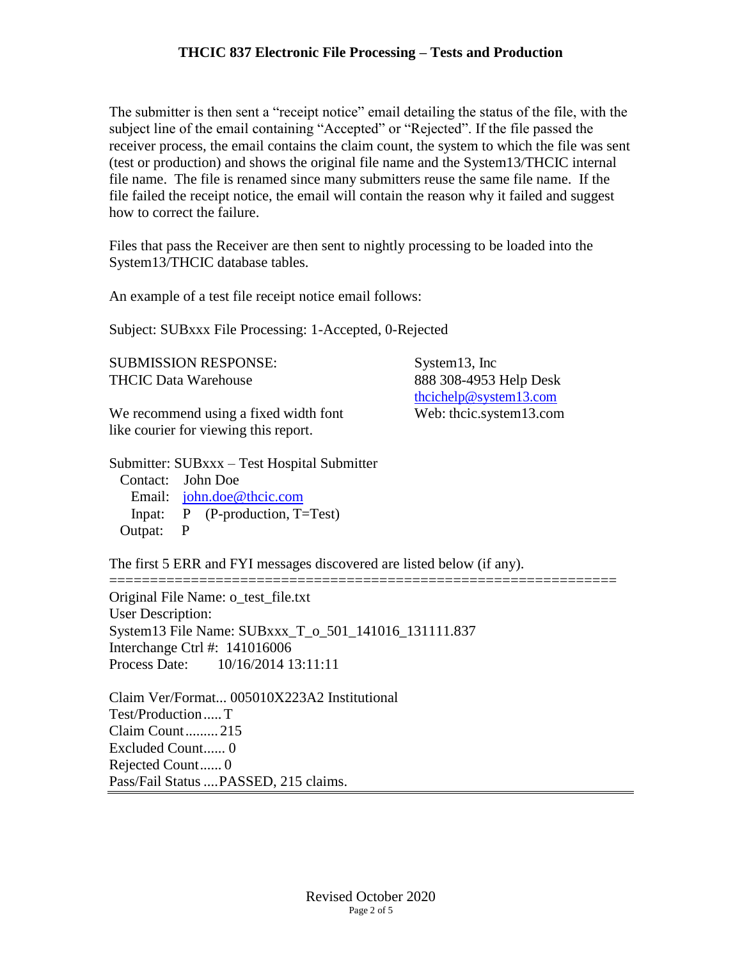The submitter is then sent a "receipt notice" email detailing the status of the file, with the subject line of the email containing "Accepted" or "Rejected". If the file passed the receiver process, the email contains the claim count, the system to which the file was sent (test or production) and shows the original file name and the System13/THCIC internal file name. The file is renamed since many submitters reuse the same file name. If the file failed the receipt notice, the email will contain the reason why it failed and suggest how to correct the failure.

Files that pass the Receiver are then sent to nightly processing to be loaded into the System13/THCIC database tables.

An example of a test file receipt notice email follows:

Subject: SUBxxx File Processing: 1-Accepted, 0-Rejected

SUBMISSION RESPONSE: System13, Inc THCIC Data Warehouse 888 308-4953 Help Desk

We recommend using a fixed width font Web: thcic.system13.com like courier for viewing this report.

[thcichelp@system13.com](mailto:thcichelp@system13.com)

Submitter: SUBxxx – Test Hospital Submitter

Contact: John Doe Email: [john.doe@thcic.com](mailto:john.doe@thcic.com) Inpat: P (P-production, T=Test) Outpat: P

The first 5 ERR and FYI messages discovered are listed below (if any).

============================================================== Original File Name: o\_test\_file.txt User Description: System13 File Name: SUBxxx\_T\_o\_501\_141016\_131111.837 Interchange Ctrl #: 141016006 Process Date: 10/16/2014 13:11:11

Claim Ver/Format... 005010X223A2 Institutional Test/Production.....T Claim Count......... 215 Excluded Count...... 0 Rejected Count...... 0 Pass/Fail Status ....PASSED, 215 claims.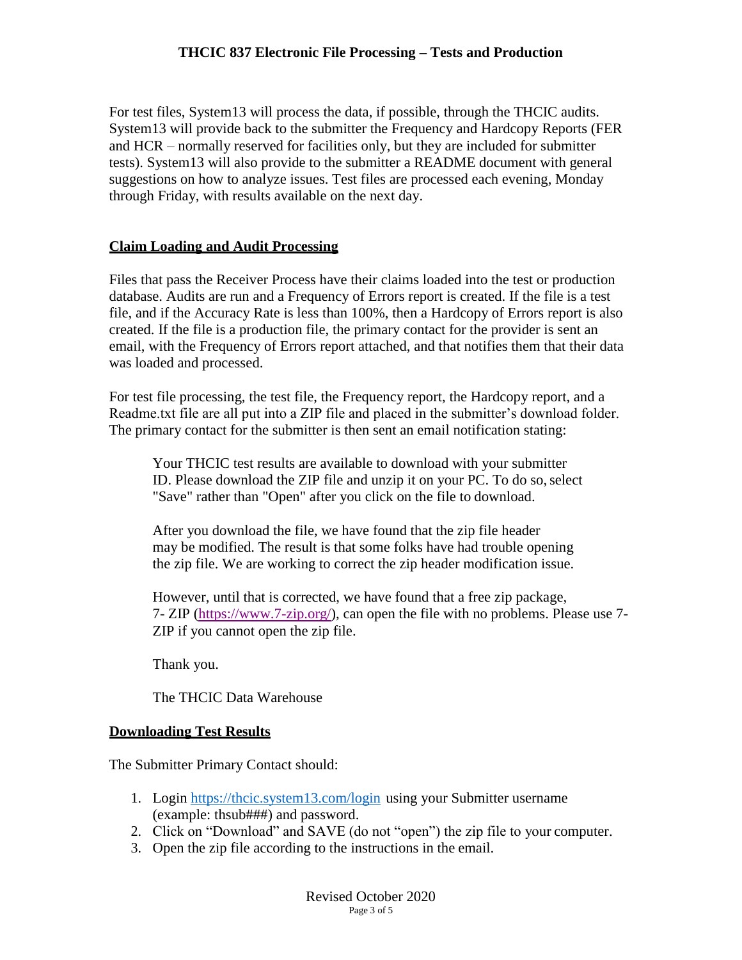For test files, System13 will process the data, if possible, through the THCIC audits. System13 will provide back to the submitter the Frequency and Hardcopy Reports (FER and HCR – normally reserved for facilities only, but they are included for submitter tests). System13 will also provide to the submitter a README document with general suggestions on how to analyze issues. Test files are processed each evening, Monday through Friday, with results available on the next day.

#### **Claim Loading and Audit Processing**

Files that pass the Receiver Process have their claims loaded into the test or production database. Audits are run and a Frequency of Errors report is created. If the file is a test file, and if the Accuracy Rate is less than 100%, then a Hardcopy of Errors report is also created. If the file is a production file, the primary contact for the provider is sent an email, with the Frequency of Errors report attached, and that notifies them that their data was loaded and processed.

For test file processing, the test file, the Frequency report, the Hardcopy report, and a Readme.txt file are all put into a ZIP file and placed in the submitter's download folder. The primary contact for the submitter is then sent an email notification stating:

Your THCIC test results are available to download with your submitter ID. Please download the ZIP file and unzip it on your PC. To do so,select "Save" rather than "Open" after you click on the file to download.

After you download the file, we have found that the zip file header may be modified. The result is that some folks have had trouble opening the zip file. We are working to correct the zip header modification issue.

However, until that is corrected, we have found that a free zip package, 7- ZIP [\(https://www.7-zip.org/\)](https://www.7-zip.org/), can open the file with no problems. Please use 7- ZIP if you cannot open the zip file.

Thank you.

The THCIC Data Warehouse

#### **Downloading Test Results**

The Submitter Primary Contact should:

- 1. Login <https://thcic.system13.com/login> using your Submitter username (example: thsub###) and password.
- 2. Click on "Download" and SAVE (do not "open") the zip file to your computer.
- 3. Open the zip file according to the instructions in the email.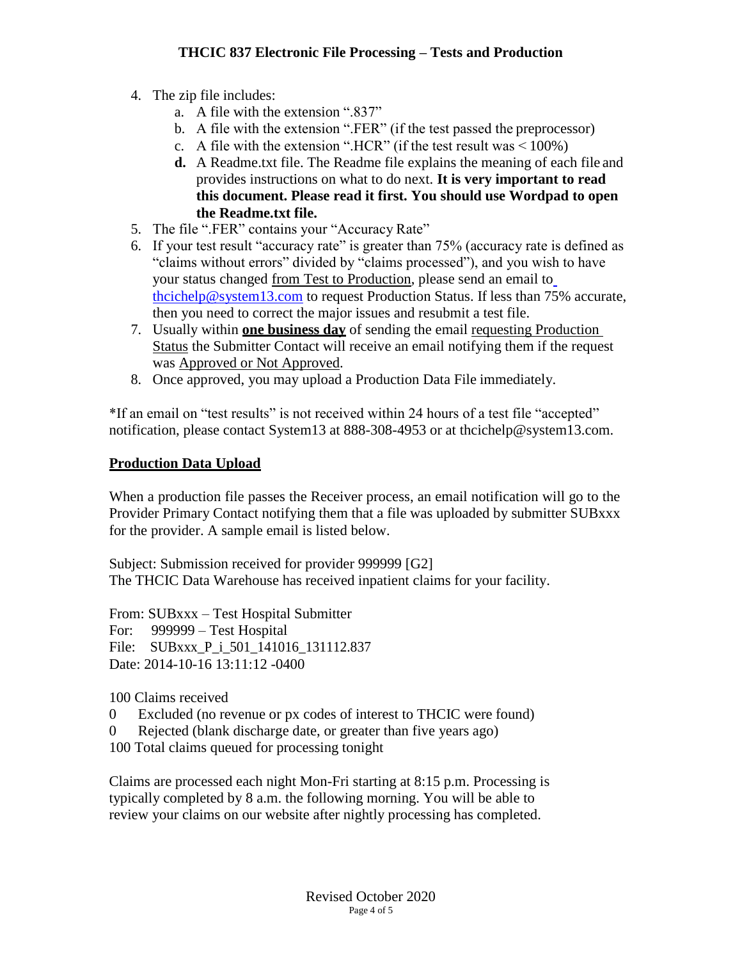- 4. The zip file includes:
	- a. A file with the extension ".837"
	- b. A file with the extension ".FER" (if the test passed the preprocessor)
	- c. A file with the extension ".HCR" (if the test result was  $\leq 100\%$ )
	- **d.** A Readme.txt file. The Readme file explains the meaning of each file and provides instructions on what to do next. **It is very important to read this document. Please read it first. You should use Wordpad to open the Readme.txt file.**
- 5. The file ".FER" contains your "Accuracy Rate"
- 6. If your test result "accuracy rate" is greater than 75% (accuracy rate is defined as "claims without errors" divided by "claims processed"), and you wish to have y[o](mailto:thcichelp@system13.com)ur status changed from Test to Production, please send an email to [thcichelp@system13.com](mailto:thcichelp@system13.com) to request Production Status. If less than 75% accurate, then you need to correct the major issues and resubmit a test file.
- 7. Usually within **one business day** of sending the email requesting Production Status the Submitter Contact will receive an email notifying them if the request was Approved or Not Approved.
- 8. Once approved, you may upload a Production Data File immediately.

\*If an email on "test results" is not received within 24 hours of a test file "accepted" notification, please contact System13 at 888-308-4953 or at [thcichelp@system13.com.](mailto:thcichelp@system13.com)

# **Production Data Upload**

When a production file passes the Receiver process, an email notification will go to the Provider Primary Contact notifying them that a file was uploaded by submitter SUBxxx for the provider. A sample email is listed below.

Subject: Submission received for provider 999999 [G2] The THCIC Data Warehouse has received inpatient claims for your facility.

From: SUBxxx – Test Hospital Submitter For: 999999 – Test Hospital File: SUBxxx P i 501 141016 131112.837 Date: 2014-10-16 13:11:12 -0400

100 Claims received

- 0 Excluded (no revenue or px codes of interest to THCIC were found)
- 0 Rejected (blank discharge date, or greater than five years ago)
- 100 Total claims queued for processing tonight

Claims are processed each night Mon-Fri starting at 8:15 p.m. Processing is typically completed by 8 a.m. the following morning. You will be able to review your claims on our website after nightly processing has completed.